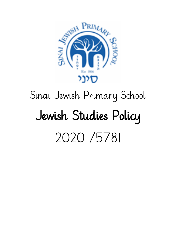

# Sinai Jewish Primary School Jewish Studies Policy 2020 /5781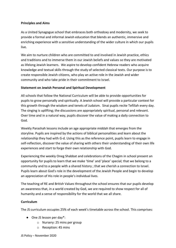## **Principles and Aims**

As a United Synagogue school that embraces both orthodoxy and modernity, we seek to provide a formal and informal Jewish education that blends an authentic, immersive and enriching experience with a sensitive understanding of the wider culture in which our pupils live.

We aim to nurture children who are committed to and involved in Jewish practice, ethics and traditions and to immerse them in our Jewish beliefs and values so they are motivated as lifelong Jewish learners. We aspire to develop confident Hebrew readers who acquire knowledge and textual skills through the study of selected classical texts. Our purpose is to create responsible Jewish citizens, who play an active role in the Jewish and wider community and who take pride in their commitment to Israel.

## **Statement on Jewish Personal and Spiritual Development**

All schools that follow the National Curriculum will be able to provide opportunities for pupils to grow personally and spiritually. A Jewish school will provide a particular context for this growth through the wisdom and tenets of Judaism. Sinai pupils recite Tefillah every day. The singing is uplifting; the discussions are appropriately spiritual, personal and relevant. Over time and in a natural way, pupils discover the value of making a daily connection to God.

Weekly Parashah lessons include an age appropriate middah that emerges from the storyline. Pupils are inspired by the actions of biblical personalities and learn about the relationship they had with G-d. Using this as the reference point, pupils learn to engage in self-reflection, discover the value of sharing with others their understanding of their own life experiences and start to forge their own relationship with God.

Experiencing the weekly Oneg Shabbat and celebrations of the Chagim in school present an opportunity for pupils to learn that we make 'time' and 'place' special; that we belong to a community and to a people with a shared history ; that we cherish a connection to Israel. Pupils learn about God's role in the development of the Jewish People and begin to develop an appreciation of His role in people's individual lives.

The teaching of RE and British Values throughout the school ensures that our pupils develop an awareness that, in a world created by God, we are required to show respect for all of humanity and a sense of responsibility for the world that we all share.

## **Curriculum**

The JS curriculum occupies 25% of each week's timetable across the school. This comprises:

- One JS lesson per day\*:
	- o Nursery: 25 mins per group
	- o Reception: 45 mins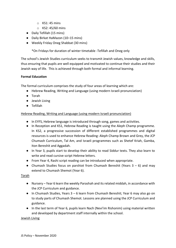- $\circ$  KS1: 45 mins
- o KS2: 45/60 mins
- Daily Tefillah (15 mins)
- Daily Birkat HaMazon (10–15 mins)
- Weekly Friday Oneg Shabbat (30 mins)

\*On Fridays for duration of winter timetable -Tefillah and Oneg only

The school's Jewish Studies curriculum seeks to transmit Jewish values, knowledge and skills, thus ensuring that pupils are well equipped and motivated to continue their studies and their Jewish way of life. This is achieved through both formal and informal learning.

# **Formal Education**

The formal curriculum comprises the study of four areas of learning which are:

- Hebrew Reading, Writing and Language (using modern Israeli pronunciation)
- Torah
- Jewish Living
- Tefillah

# Hebrew Reading, Writing and Language (using modern Israeli pronunciation)

- In EYFS, Hebrew language is introduced through song, games and activities.
- In Reception and KS1, Hebrew Reading is taught using the Aleph Champ programme. In KS2, a progressive succession of different established programmes and digital resources is used to enhance Hebrew Reading: Aleph Champ Brown and Grey, the JCP Chumash Curriculum, Tal Am, and Israeli programmes such as Shetef Kriah, Gamba, Iton Bereshit and Aggadah.
- In Year 3, pupils start to develop their ability to read Siddur texts. They also learn to write and read cursive script Hebrew letters.
- From Year 4, Rashi script reading can be introduced when appropriate.
- Chumash Studies focus on parshiot from Chumash Bereshit (Years  $3 6$ ) and may extend to Chumash Shemot (Year 6).

## Torah

- Nursery Year 6 learn the weekly Parashah and its related middah, in accordance with the JCP Curriculum and guidance.
- In Chumash Studies, Years 3 6 learn from Chumash Bereshit; Year 6 may also go on to study parts of Chumash Shemot. Lessons are planned using the JCP Curriculum and guidance.
- In the last term of Year 6, pupils learn Nach (Nevi'im Rishonim) using material written and developed by department staff internally within the school.

## Jewish Living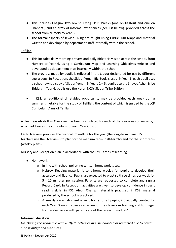- This includes Chagim, two Jewish Living Skills Weeks (one on Kashrut and one on Shabbat), and an array of informal experiences (see list below), provided across the school from Nursery to Year 6.
- The formal aspects of Jewish Living are taught using Curriculum Maps and material written and developed by department staff internally within the school.

# Tefillah

- This includes daily morning prayers and daily Birkat HaMazon across the school, from Nursery to Year 6, using a Curriculum Map and Learning Objectives written and developed by department staff internally within the school.
- The progress made by pupils is reflected in the Siddur designated for use by different age groups. In Reception, the Siddur Yonah Big Book is used; in Year 1, each pupil uses a school-owned copy of Siddur Yonah; in Years 2 – 5, pupils use the Shevet Asher Tribe Siddur; in Year 6, pupils use the Koren NCSY Siddur Tribe Edition.
- In KS2, an additional timetabled opportunity may be provided each week during summer timetable for the study of Tefillah, the content of which is guided by the JCP Curriculum Aims of Tefillah.

A clear, easy-to-follow Overview has been formulated for each of the four areas of learning, which addresses the curriculum for each Year Group.

Each Overview provides the curriculum outline for the year (the long-term plans). JS teachers use the Overviews to plan for the medium term (half-termly) and for the short term (weekly plans).

Nursery and Reception plan in accordance with the EYFS areas of learning.

- Homework:
	- o In line with school policy, no written homework is set.
	- o Hebrew Reading material is sent home weekly for pupils to develop their accuracy and fluency. Pupils are expected to practise three times per week for 5 - 10 minutes per session. Parents are requested to complete and sign a Record Card. In Reception, activities are given to develop confidence in basic reading skills; in KS1, Aleph Champ material is practised; in KS2, material produced by the school is practised.
	- o A weekly Parashah sheet is sent home for all pupils, individually created for each Year Group, to use as a review of the classroom learning and to trigger further discussion with parents about the relevant 'middah'.

## **Informal Education**

*Nb. During the Academic year 2020/21 activities may be adapted or restricted due to Covid 19 risk mitigation measures*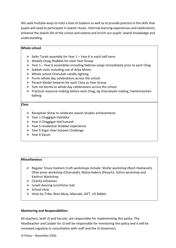We seek multiple ways to instil a love of Judaism as well as to provide practice in the skills that pupils will need to participate in Jewish rituals. Informal learning experiences and celebrations enhance the Jewish life of the school and extend and enrich our pupils' Jewish knowledge and understanding.

## **Whole school**

- $\triangleright$  Sefer Torah assembly for Year 1 Year 6 in each half-term
- ⮚ Weekly Oneg Shabbat for each Year Group
- $\triangleright$  Year 1 Year 6 assemblies including Hebrew songs immediately prior to each Chag
- $\triangleright$  Sukkah visits including use of Arba Minim
- $\triangleright$  Whole school Chanukah candle-lighting
- $\triangleright$  Purim whole day celebrations across the school
- $\triangleright$  Pesach Model Sedarim for each Class or Year Group
- $\triangleright$  Yom Ha'Atzma'ut whole day celebrations across the school
- $\triangleright$  Practical resource-making before each Chag, eg chanukiyah making, hamentaschen baking

#### **Class**

- $\triangleright$  Reception Show to celebrate Jewish Studies achievements
- $\triangleright$  Year 1 Chaggigat HaSiddur
- ⮚ Year 3 Chaggigat HaChumash
- $\triangleright$  Year 5 residential Shabbat experience
- $\triangleright$  Year 5 Etgar Inter Schools Challenge
- $\triangleright$  Year 6 Sivum

## **Miscellaneous**

- $\triangleright$  Regular Tzivos Hashem Craft workshops include: Shofar workshop (Rosh Hashanah), Olive press workshop (Chanukah), Matza bakery (Pesach), Sofrut workshop and Kashrut Workshop
- $\triangleright$  Charity initiatives
- $\triangleright$  Israeli dancing lunchtime club
- $\triangleright$  School choir
- $\triangleright$  Visits by Tribe, Bnei Akiva, Maccabi, GIFT, US Rabbis

#### **Monitoring and Responsibilities**

All teachers, both JS and Secular, are responsible for implementing this policy. The Headteacher and Leader for JS will be responsible for monitoring the policy and it will be reviewed regularly in consultation with staff and the JS Governors.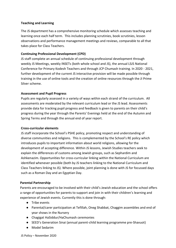## **Teaching and Learning**

The JS department has a comprehensive monitoring schedule which assesses teaching and learning once each half term. This includes planning scrutinies, book scrutinies, lesson observations and performance management meetings and reviews, comparable to all that takes place for Class Teachers.

## **Continuing Professional Development (CPD)**

JS staff complete an annual schedule of continuing professional development through weekly JS Meetings, weekly INSETs (both whole school and JS), the annual LSJS National Conference for Primary Kodesh Teachers and through JCP Chumash training. In 2020 - 2021, further development of the current JS interactive provision will be made possible through training in the use of online tools and the creation of online resources through the JI Prime Silver scheme.

## **Assessment and Pupil Progress**

Pupils are regularly assessed in a variety of ways within each strand of the curriculum. All assessments are moderated by the relevant curriculum lead or the JS lead. Assessments provide data for tracking pupil progress and feedback is given to parents on their child's progress during the year through the Parents' Evenings held at the end of the Autumn and Spring Terms and through the annual end of year report.

## **Cross-curricular elements**

JS staff incorporate the School's PSHE policy, promoting respect and understanding of diverse communities and religions. This is complemented by the School's RE policy which introduces pupils to important information about world religions, allowing for the development of accepting difference. Within JS lessons, Jewish Studies teachers seek to explain the differences of customs among Jewish groups, such as Sephardim and Ashkenazim. Opportunities for cross-curricular linking within the National Curriculum are identified whenever possible (both by JS teachers linking to the National Curriculum and Class Teachers linking to JS). Where possible, joint planning is done with JS for focussed days such as a Roman Day and an Egyptian Day.

#### **Parental Partnership**

Parents are encouraged to be involved with their child's Jewish education and the school offers a range of opportunities for parents to support and join in with their children's learning and experience of Jewish events. Currently this is done through:

- Tribe events
- Parental/carer participation at Tefillah, Oneg Shabbat, Chaggim assemblies and end of year shows in the Nursery
- Chagigat HaSiddur/HaChumash ceremonies
- SEED's Generation Sinai (annual parent-child learning programme pre-Shavuot)
- Model Sedarim